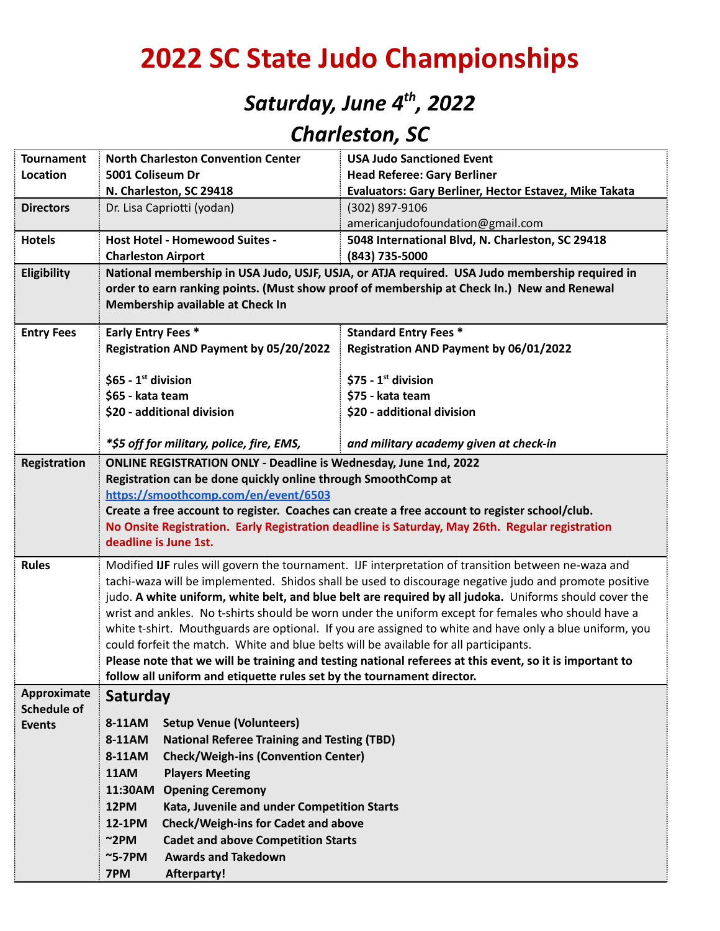# **2022 SC State Judo Championships**

## *Saturday, June 4 th , 2022*

### *Charleston, SC*

| <b>Tournament</b>  | <b>North Charleston Convention Center</b>                                                                                                                                                    | <b>USA Judo Sanctioned Event</b>                                                                      |  |  |  |  |  |
|--------------------|----------------------------------------------------------------------------------------------------------------------------------------------------------------------------------------------|-------------------------------------------------------------------------------------------------------|--|--|--|--|--|
| Location           | 5001 Coliseum Dr                                                                                                                                                                             | <b>Head Referee: Gary Berliner</b>                                                                    |  |  |  |  |  |
|                    | N. Charleston, SC 29418                                                                                                                                                                      | Evaluators: Gary Berliner, Hector Estavez, Mike Takata                                                |  |  |  |  |  |
| <b>Directors</b>   | Dr. Lisa Capriotti (yodan)                                                                                                                                                                   | (302) 897-9106                                                                                        |  |  |  |  |  |
|                    |                                                                                                                                                                                              | americanjudofoundation@gmail.com                                                                      |  |  |  |  |  |
| <b>Hotels</b>      | Host Hotel - Homewood Suites -                                                                                                                                                               | 5048 International Blvd, N. Charleston, SC 29418                                                      |  |  |  |  |  |
|                    | <b>Charleston Airport</b>                                                                                                                                                                    | (843) 735-5000                                                                                        |  |  |  |  |  |
| Eligibility        | National membership in USA Judo, USJF, USJA, or ATJA required. USA Judo membership required in<br>order to earn ranking points. (Must show proof of membership at Check In.) New and Renewal |                                                                                                       |  |  |  |  |  |
|                    | Membership available at Check In                                                                                                                                                             |                                                                                                       |  |  |  |  |  |
| <b>Entry Fees</b>  | <b>Early Entry Fees *</b><br><b>Standard Entry Fees *</b>                                                                                                                                    |                                                                                                       |  |  |  |  |  |
|                    | Registration AND Payment by 05/20/2022                                                                                                                                                       | Registration AND Payment by 06/01/2022                                                                |  |  |  |  |  |
|                    |                                                                                                                                                                                              |                                                                                                       |  |  |  |  |  |
|                    | \$65 - $1st$ division                                                                                                                                                                        | $$75 - 1st$ division                                                                                  |  |  |  |  |  |
|                    | \$65 - kata team                                                                                                                                                                             | \$75 - kata team                                                                                      |  |  |  |  |  |
|                    | \$20 - additional division                                                                                                                                                                   | \$20 - additional division                                                                            |  |  |  |  |  |
|                    |                                                                                                                                                                                              |                                                                                                       |  |  |  |  |  |
|                    | *\$5 off for military, police, fire, EMS,                                                                                                                                                    | and military academy given at check-in                                                                |  |  |  |  |  |
| Registration       | <b>ONLINE REGISTRATION ONLY - Deadline is Wednesday, June 1nd, 2022</b>                                                                                                                      |                                                                                                       |  |  |  |  |  |
|                    | Registration can be done quickly online through SmoothComp at                                                                                                                                |                                                                                                       |  |  |  |  |  |
|                    | https://smoothcomp.com/en/event/6503                                                                                                                                                         |                                                                                                       |  |  |  |  |  |
|                    | Create a free account to register. Coaches can create a free account to register school/club.                                                                                                |                                                                                                       |  |  |  |  |  |
|                    | No Onsite Registration. Early Registration deadline is Saturday, May 26th. Regular registration                                                                                              |                                                                                                       |  |  |  |  |  |
|                    | deadline is June 1st.                                                                                                                                                                        |                                                                                                       |  |  |  |  |  |
| <b>Rules</b>       |                                                                                                                                                                                              | Modified IJF rules will govern the tournament. IJF interpretation of transition between ne-waza and   |  |  |  |  |  |
|                    |                                                                                                                                                                                              | tachi-waza will be implemented. Shidos shall be used to discourage negative judo and promote positive |  |  |  |  |  |
|                    | judo. A white uniform, white belt, and blue belt are required by all judoka. Uniforms should cover the                                                                                       |                                                                                                       |  |  |  |  |  |
|                    | wrist and ankles. No t-shirts should be worn under the uniform except for females who should have a                                                                                          |                                                                                                       |  |  |  |  |  |
|                    | white t-shirt. Mouthguards are optional. If you are assigned to white and have only a blue uniform, you                                                                                      |                                                                                                       |  |  |  |  |  |
|                    | could forfeit the match. White and blue belts will be available for all participants.                                                                                                        |                                                                                                       |  |  |  |  |  |
|                    | Please note that we will be training and testing national referees at this event, so it is important to                                                                                      |                                                                                                       |  |  |  |  |  |
|                    | follow all uniform and etiquette rules set by the tournament director.                                                                                                                       |                                                                                                       |  |  |  |  |  |
| Approximate        | Saturday                                                                                                                                                                                     |                                                                                                       |  |  |  |  |  |
| <b>Schedule of</b> |                                                                                                                                                                                              |                                                                                                       |  |  |  |  |  |
| <b>Events</b>      | 8-11AM<br><b>Setup Venue (Volunteers)</b>                                                                                                                                                    |                                                                                                       |  |  |  |  |  |
|                    | <b>National Referee Training and Testing (TBD)</b><br>8-11AM                                                                                                                                 |                                                                                                       |  |  |  |  |  |
|                    | <b>Check/Weigh-ins (Convention Center)</b><br>8-11AM                                                                                                                                         |                                                                                                       |  |  |  |  |  |
|                    | <b>11AM</b><br><b>Players Meeting</b>                                                                                                                                                        |                                                                                                       |  |  |  |  |  |
|                    | 11:30AM<br><b>Opening Ceremony</b>                                                                                                                                                           |                                                                                                       |  |  |  |  |  |
|                    | 12PM<br>Kata, Juvenile and under Competition Starts                                                                                                                                          |                                                                                                       |  |  |  |  |  |
|                    | 12-1PM<br><b>Check/Weigh-ins for Cadet and above</b>                                                                                                                                         |                                                                                                       |  |  |  |  |  |
|                    | $\sim$ 2PM<br><b>Cadet and above Competition Starts</b>                                                                                                                                      |                                                                                                       |  |  |  |  |  |
|                    | $\sim$ 5-7PM<br><b>Awards and Takedown</b>                                                                                                                                                   |                                                                                                       |  |  |  |  |  |
|                    | 7PM<br><b>Afterparty!</b>                                                                                                                                                                    |                                                                                                       |  |  |  |  |  |
|                    |                                                                                                                                                                                              |                                                                                                       |  |  |  |  |  |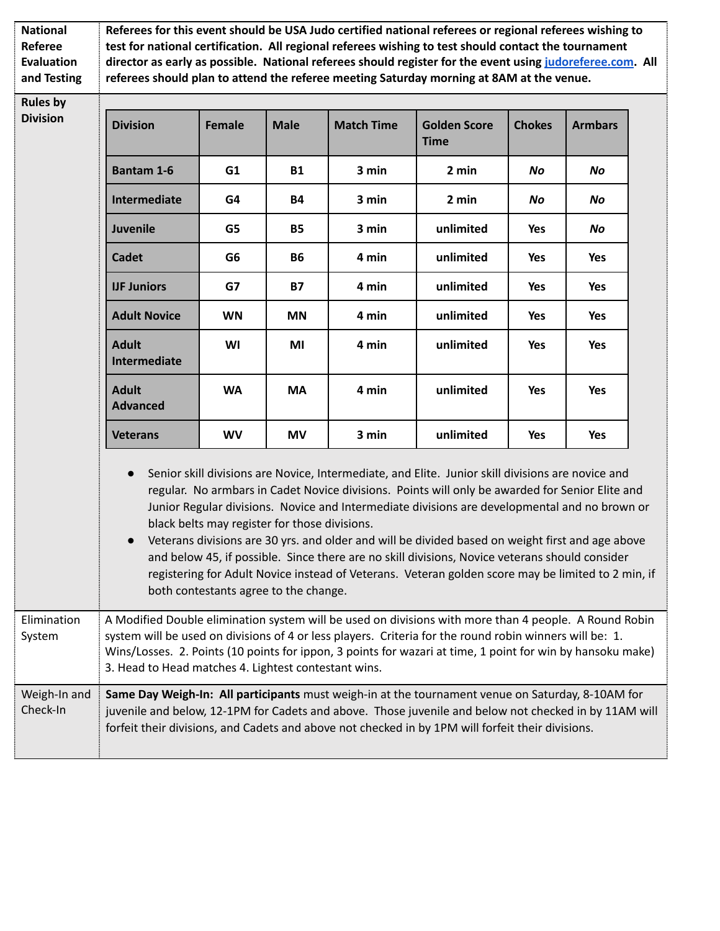| <b>National</b><br><b>Referee</b><br><b>Evaluation</b><br>and Testing | Referees for this event should be USA Judo certified national referees or regional referees wishing to<br>test for national certification. All regional referees wishing to test should contact the tournament<br>director as early as possible. National referees should register for the event using judoreferee.com. All<br>referees should plan to attend the referee meeting Saturday morning at 8AM at the venue. |                                                                                                                                                                                                                                                                                                                                                                                                                                                                                                                                                                                                                                                                                                             |             |                   |                                    |                                                           |                |  |  |
|-----------------------------------------------------------------------|-------------------------------------------------------------------------------------------------------------------------------------------------------------------------------------------------------------------------------------------------------------------------------------------------------------------------------------------------------------------------------------------------------------------------|-------------------------------------------------------------------------------------------------------------------------------------------------------------------------------------------------------------------------------------------------------------------------------------------------------------------------------------------------------------------------------------------------------------------------------------------------------------------------------------------------------------------------------------------------------------------------------------------------------------------------------------------------------------------------------------------------------------|-------------|-------------------|------------------------------------|-----------------------------------------------------------|----------------|--|--|
| <b>Rules by</b><br><b>Division</b>                                    | <b>Division</b>                                                                                                                                                                                                                                                                                                                                                                                                         | <b>Female</b>                                                                                                                                                                                                                                                                                                                                                                                                                                                                                                                                                                                                                                                                                               | <b>Male</b> | <b>Match Time</b> | <b>Golden Score</b><br><b>Time</b> | <b>Chokes</b>                                             | <b>Armbars</b> |  |  |
|                                                                       | <b>Bantam 1-6</b>                                                                                                                                                                                                                                                                                                                                                                                                       | G1                                                                                                                                                                                                                                                                                                                                                                                                                                                                                                                                                                                                                                                                                                          | <b>B1</b>   | 3 min             | 2 min                              | No<br>No<br>Yes<br>Yes<br>Yes<br>Yes<br>Yes<br>Yes<br>Yes | No             |  |  |
|                                                                       | Intermediate                                                                                                                                                                                                                                                                                                                                                                                                            | G4                                                                                                                                                                                                                                                                                                                                                                                                                                                                                                                                                                                                                                                                                                          | <b>B4</b>   | 3 min             | 2 min                              |                                                           | No             |  |  |
|                                                                       | <b>Juvenile</b>                                                                                                                                                                                                                                                                                                                                                                                                         | G5                                                                                                                                                                                                                                                                                                                                                                                                                                                                                                                                                                                                                                                                                                          | <b>B5</b>   | 3 min             | unlimited                          |                                                           | No             |  |  |
|                                                                       | <b>Cadet</b>                                                                                                                                                                                                                                                                                                                                                                                                            | G <sub>6</sub>                                                                                                                                                                                                                                                                                                                                                                                                                                                                                                                                                                                                                                                                                              | <b>B6</b>   | 4 min             | unlimited                          |                                                           | <b>Yes</b>     |  |  |
|                                                                       | <b>IJF Juniors</b>                                                                                                                                                                                                                                                                                                                                                                                                      | G7                                                                                                                                                                                                                                                                                                                                                                                                                                                                                                                                                                                                                                                                                                          | <b>B7</b>   | 4 min             | unlimited                          |                                                           | <b>Yes</b>     |  |  |
|                                                                       | <b>Adult Novice</b>                                                                                                                                                                                                                                                                                                                                                                                                     | <b>WN</b>                                                                                                                                                                                                                                                                                                                                                                                                                                                                                                                                                                                                                                                                                                   | <b>MN</b>   | 4 min             | unlimited                          |                                                           | Yes            |  |  |
|                                                                       | <b>Adult</b><br>Intermediate                                                                                                                                                                                                                                                                                                                                                                                            | WI                                                                                                                                                                                                                                                                                                                                                                                                                                                                                                                                                                                                                                                                                                          | MI          | 4 min             | unlimited                          |                                                           | <b>Yes</b>     |  |  |
|                                                                       | <b>Adult</b><br><b>Advanced</b>                                                                                                                                                                                                                                                                                                                                                                                         | <b>WA</b>                                                                                                                                                                                                                                                                                                                                                                                                                                                                                                                                                                                                                                                                                                   | <b>MA</b>   | 4 min             | unlimited                          |                                                           | Yes            |  |  |
|                                                                       | <b>Veterans</b>                                                                                                                                                                                                                                                                                                                                                                                                         | <b>WV</b>                                                                                                                                                                                                                                                                                                                                                                                                                                                                                                                                                                                                                                                                                                   | <b>MV</b>   | 3 min             | unlimited                          |                                                           | Yes            |  |  |
|                                                                       | $\bullet$                                                                                                                                                                                                                                                                                                                                                                                                               | Senior skill divisions are Novice, Intermediate, and Elite. Junior skill divisions are novice and<br>regular. No armbars in Cadet Novice divisions. Points will only be awarded for Senior Elite and<br>Junior Regular divisions. Novice and Intermediate divisions are developmental and no brown or<br>black belts may register for those divisions.<br>Veterans divisions are 30 yrs. and older and will be divided based on weight first and age above<br>and below 45, if possible. Since there are no skill divisions, Novice veterans should consider<br>registering for Adult Novice instead of Veterans. Veteran golden score may be limited to 2 min, if<br>both contestants agree to the change. |             |                   |                                    |                                                           |                |  |  |
| Elimination<br>System                                                 | A Modified Double elimination system will be used on divisions with more than 4 people. A Round Robin<br>system will be used on divisions of 4 or less players. Criteria for the round robin winners will be: 1.<br>Wins/Losses. 2. Points (10 points for ippon, 3 points for wazari at time, 1 point for win by hansoku make)<br>3. Head to Head matches 4. Lightest contestant wins.                                  |                                                                                                                                                                                                                                                                                                                                                                                                                                                                                                                                                                                                                                                                                                             |             |                   |                                    |                                                           |                |  |  |
| Weigh-In and<br>Check-In                                              | Same Day Weigh-In: All participants must weigh-in at the tournament venue on Saturday, 8-10AM for<br>juvenile and below, 12-1PM for Cadets and above. Those juvenile and below not checked in by 11AM will<br>forfeit their divisions, and Cadets and above not checked in by 1PM will forfeit their divisions.                                                                                                         |                                                                                                                                                                                                                                                                                                                                                                                                                                                                                                                                                                                                                                                                                                             |             |                   |                                    |                                                           |                |  |  |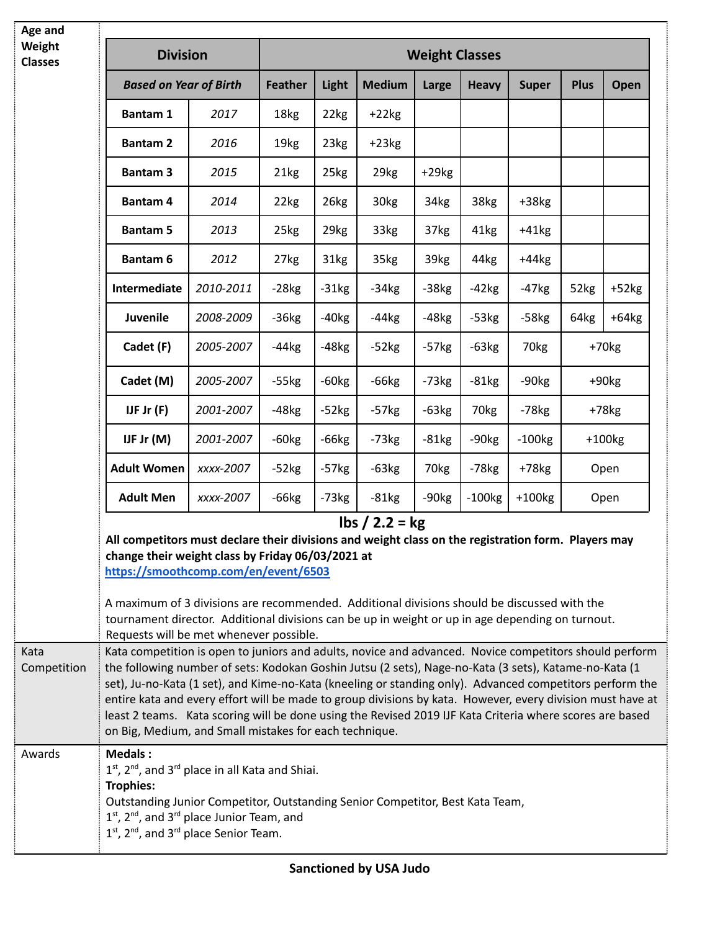| Age and                  |                                                                                                                                                                                                                                                                                                                                                                                                                                                                                                                                                                                                                 |           |                       |                  |                  |                  |                      |                      |                     |         |
|--------------------------|-----------------------------------------------------------------------------------------------------------------------------------------------------------------------------------------------------------------------------------------------------------------------------------------------------------------------------------------------------------------------------------------------------------------------------------------------------------------------------------------------------------------------------------------------------------------------------------------------------------------|-----------|-----------------------|------------------|------------------|------------------|----------------------|----------------------|---------------------|---------|
| Weight<br><b>Classes</b> | <b>Division</b>                                                                                                                                                                                                                                                                                                                                                                                                                                                                                                                                                                                                 |           | <b>Weight Classes</b> |                  |                  |                  |                      |                      |                     |         |
|                          | <b>Based on Year of Birth</b>                                                                                                                                                                                                                                                                                                                                                                                                                                                                                                                                                                                   |           | <b>Feather</b>        | Light            | <b>Medium</b>    | Large            | <b>Heavy</b>         | <b>Super</b>         | Plus                | Open    |
|                          | <b>Bantam 1</b>                                                                                                                                                                                                                                                                                                                                                                                                                                                                                                                                                                                                 | 2017      | 18kg                  | 22kg             | $+22kg$          |                  |                      |                      |                     |         |
|                          | <b>Bantam 2</b>                                                                                                                                                                                                                                                                                                                                                                                                                                                                                                                                                                                                 | 2016      | 19 <sub>kg</sub>      | 23kg             | $+23kg$          |                  |                      |                      |                     |         |
|                          | <b>Bantam 3</b>                                                                                                                                                                                                                                                                                                                                                                                                                                                                                                                                                                                                 | 2015      | 21kg                  | 25kg             | 29 <sub>kg</sub> | $+29kg$          |                      |                      |                     |         |
|                          | <b>Bantam 4</b>                                                                                                                                                                                                                                                                                                                                                                                                                                                                                                                                                                                                 | 2014      | 22kg                  | 26kg             | 30 <sub>kg</sub> | 34kg             | 38kg                 | $+38kg$              |                     |         |
|                          | <b>Bantam 5</b>                                                                                                                                                                                                                                                                                                                                                                                                                                                                                                                                                                                                 | 2013      | 25kg                  | 29 <sub>kg</sub> | 33kg             | 37kg             | 41kg                 | $+41kg$              |                     |         |
|                          | <b>Bantam 6</b>                                                                                                                                                                                                                                                                                                                                                                                                                                                                                                                                                                                                 | 2012      | 27kg                  | 31kg             | 35kg             | 39kg             | 44kg                 | $+44kg$              |                     |         |
|                          | Intermediate                                                                                                                                                                                                                                                                                                                                                                                                                                                                                                                                                                                                    | 2010-2011 | $-28kg$               | $-31kg$          | $-34kg$          | $-38kg$          | $-42kg$              | $-47kg$              | 52kg                | $+52kg$ |
|                          | <b>Juvenile</b>                                                                                                                                                                                                                                                                                                                                                                                                                                                                                                                                                                                                 | 2008-2009 | $-36kg$               | $-40kg$          | $-44kg$          | $-48kg$          | $-53kg$              | $-58kg$              | 64kg                | $+64kg$ |
|                          | Cadet (F)                                                                                                                                                                                                                                                                                                                                                                                                                                                                                                                                                                                                       | 2005-2007 | $-44kg$               | $-48kg$          | $-52kg$          | $-57kg$          | $-63kg$              | 70 <sub>kg</sub>     | $+70$ <sub>kg</sub> |         |
|                          | Cadet (M)                                                                                                                                                                                                                                                                                                                                                                                                                                                                                                                                                                                                       | 2005-2007 | $-55kg$               | $-60kg$          | $-66kg$          | $-73kg$          | $-81kg$              | $-90kg$              |                     | $+90kg$ |
|                          | IJF Jr $(F)$                                                                                                                                                                                                                                                                                                                                                                                                                                                                                                                                                                                                    | 2001-2007 | $-48kg$               | $-52kg$          | $-57kg$          | $-63kg$          | 70 <sub>kg</sub>     | $-78kg$              | $+78kg$             |         |
|                          | IJF Jr $(M)$                                                                                                                                                                                                                                                                                                                                                                                                                                                                                                                                                                                                    | 2001-2007 | $-60kg$               | $-66kg$          | $-73kg$          | $-81kg$          | $-90kg$              | $-100$ <sub>kg</sub> | $+100kg$            |         |
|                          | <b>Adult Women</b>                                                                                                                                                                                                                                                                                                                                                                                                                                                                                                                                                                                              | xxxx-2007 | $-52kg$               | $-57kg$          | $-63kg$          | 70 <sub>kg</sub> | $-78$ <sub>kg</sub>  | $+78kg$              | Open<br>Open        |         |
|                          | <b>Adult Men</b>                                                                                                                                                                                                                                                                                                                                                                                                                                                                                                                                                                                                | xxxx-2007 | $-66kg$               | $-73kg$          | $-81kg$          | $-90kg$          | $-100$ <sub>kg</sub> | $+100kg$             |                     |         |
|                          | $\frac{\text{lbs}}{2.2} = \text{kg}$<br>All competitors must declare their divisions and weight class on the registration form. Players may<br>change their weight class by Friday 06/03/2021 at<br>https://smoothcomp.com/en/event/6503<br>A maximum of 3 divisions are recommended. Additional divisions should be discussed with the<br>tournament director. Additional divisions can be up in weight or up in age depending on turnout.<br>Requests will be met whenever possible.                                                                                                                          |           |                       |                  |                  |                  |                      |                      |                     |         |
| Kata<br>Competition      | Kata competition is open to juniors and adults, novice and advanced. Novice competitors should perform<br>the following number of sets: Kodokan Goshin Jutsu (2 sets), Nage-no-Kata (3 sets), Katame-no-Kata (1<br>set), Ju-no-Kata (1 set), and Kime-no-Kata (kneeling or standing only). Advanced competitors perform the<br>entire kata and every effort will be made to group divisions by kata. However, every division must have at<br>least 2 teams. Kata scoring will be done using the Revised 2019 IJF Kata Criteria where scores are based<br>on Big, Medium, and Small mistakes for each technique. |           |                       |                  |                  |                  |                      |                      |                     |         |
| Awards                   | <b>Medals:</b><br>$1st$ , $2nd$ , and $3rd$ place in all Kata and Shiai.<br><b>Trophies:</b><br>Outstanding Junior Competitor, Outstanding Senior Competitor, Best Kata Team,<br>$1st$ , $2nd$ , and $3rd$ place Junior Team, and<br>$1st$ , $2nd$ , and $3rd$ place Senior Team.                                                                                                                                                                                                                                                                                                                               |           |                       |                  |                  |                  |                      |                      |                     |         |